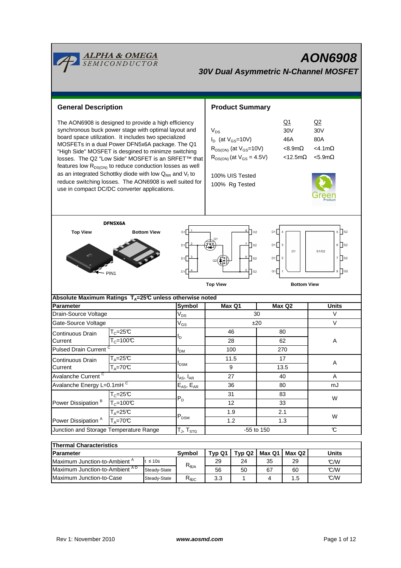| <mark>ALPHA &amp; OMEGA</mark><br>SEMICONDUCTOR<br><b>AON6908</b><br><b>30V Dual Asymmetric N-Channel MOSFET</b>                                                                                                                                                                                                                                                                                                                                                                                                                                                                          |                                                                             |                                  |                                                                                |                                                                                                                                                                                                                              |            |        |                                                                        |              |  |
|-------------------------------------------------------------------------------------------------------------------------------------------------------------------------------------------------------------------------------------------------------------------------------------------------------------------------------------------------------------------------------------------------------------------------------------------------------------------------------------------------------------------------------------------------------------------------------------------|-----------------------------------------------------------------------------|----------------------------------|--------------------------------------------------------------------------------|------------------------------------------------------------------------------------------------------------------------------------------------------------------------------------------------------------------------------|------------|--------|------------------------------------------------------------------------|--------------|--|
| <b>General Description</b>                                                                                                                                                                                                                                                                                                                                                                                                                                                                                                                                                                |                                                                             |                                  |                                                                                | <b>Product Summary</b>                                                                                                                                                                                                       |            |        |                                                                        |              |  |
| The AON6908 is designed to provide a high efficiency<br>synchronous buck power stage with optimal layout and<br>board space utilization. It includes two specialized<br>MOSFETs in a dual Power DFN5x6A package. The Q1<br>"High Side" MOSFET is desgined to minimze switching<br>losses. The Q2 "Low Side" MOSFET is an SRFET™ that<br>features low R <sub>DS(ON)</sub> to reduce conduction losses as well<br>as an integrated Schottky diode with low $Q_{RR}$ and $V_f$ to<br>reduce switching losses. The AON6908 is well suited for<br>use in compact DC/DC converter applications. |                                                                             |                                  |                                                                                | $Q_1$<br>30 <sub>V</sub><br>$V_{DS}$<br>$I_D$ (at $V_{GS}$ =10V)<br>46A<br>$R_{DS(ON)}$ (at $V_{GS}$ =10V)<br>$<8.9m\Omega$<br>$R_{DS(ON)}$ (at $V_{GS} = 4.5V$ )<br>$<$ 12.5m $\Omega$<br>100% UIS Tested<br>100% Rg Tested |            |        | Q <sub>2</sub><br>30V<br>80A<br>$<$ 4.1m $\Omega$<br>$<$ 5.9m $\Omega$ |              |  |
| DFN5X6A<br>$5 \bigcap$ S <sub>2</sub><br><b>Top View</b><br><b>Bottom View</b><br>$\sqrt{G2}$<br>D1<br>G <sub>1</sub><br>D1<br>$6$ S <sub>2</sub><br>3<br>$ s_2 $<br>D <sub>1</sub><br>D <sub>1</sub><br>S <sub>1</sub> /D <sub>2</sub><br>D1∏<br>$7$ S2<br>$\overline{2}$<br>D1<br>$\mathsf{I}$ s <sub>2</sub><br>5<br>$8 \bigcap 62$<br>G1    <br>D1<br>$\vert$ <sub>S2</sub><br>PIN <sub>1</sub><br><b>Top View</b><br><b>Bottom View</b>                                                                                                                                              |                                                                             |                                  |                                                                                |                                                                                                                                                                                                                              |            |        |                                                                        |              |  |
| Absolute Maximum Ratings $T_A = 25^\circ \text{C}$ unless otherwise noted                                                                                                                                                                                                                                                                                                                                                                                                                                                                                                                 |                                                                             |                                  |                                                                                |                                                                                                                                                                                                                              |            |        |                                                                        |              |  |
| <b>Parameter</b>                                                                                                                                                                                                                                                                                                                                                                                                                                                                                                                                                                          |                                                                             |                                  | <b>Symbol</b>                                                                  |                                                                                                                                                                                                                              | Max Q1     |        | Max Q2                                                                 | <b>Units</b> |  |
| Drain-Source Voltage                                                                                                                                                                                                                                                                                                                                                                                                                                                                                                                                                                      |                                                                             |                                  | $V_{DS}$                                                                       | 30                                                                                                                                                                                                                           |            |        | V                                                                      |              |  |
| Gate-Source Voltage                                                                                                                                                                                                                                                                                                                                                                                                                                                                                                                                                                       |                                                                             |                                  | $V_{GS}$                                                                       | ±20                                                                                                                                                                                                                          |            |        | $\vee$                                                                 |              |  |
| Continuous Drain                                                                                                                                                                                                                                                                                                                                                                                                                                                                                                                                                                          | $T_c = 25C$                                                                 |                                  |                                                                                | 46<br>80                                                                                                                                                                                                                     |            |        |                                                                        |              |  |
| Current                                                                                                                                                                                                                                                                                                                                                                                                                                                                                                                                                                                   | $T_c = 100C$                                                                |                                  | ı,                                                                             | 28                                                                                                                                                                                                                           |            |        | 62                                                                     | Α            |  |
| Pulsed Drain Current <sup>C</sup>                                                                                                                                                                                                                                                                                                                                                                                                                                                                                                                                                         |                                                                             |                                  | I <sub>DM</sub>                                                                | 100                                                                                                                                                                                                                          |            |        | 270                                                                    |              |  |
| Continuous Drain                                                                                                                                                                                                                                                                                                                                                                                                                                                                                                                                                                          | $T_A = 25\overline{C}$                                                      |                                  |                                                                                | 11.5                                                                                                                                                                                                                         |            |        | 17                                                                     |              |  |
| Current                                                                                                                                                                                                                                                                                                                                                                                                                                                                                                                                                                                   | $T_A = 70C$                                                                 |                                  | I <sub>DSM</sub>                                                               | 9                                                                                                                                                                                                                            |            | 13.5   |                                                                        | Α            |  |
| Avalanche Current <sup>C</sup>                                                                                                                                                                                                                                                                                                                                                                                                                                                                                                                                                            |                                                                             |                                  | $\boldsymbol{\mathsf{I}}_{\mathsf{AS}}, \boldsymbol{\mathsf{I}}_{\mathsf{AR}}$ | 27                                                                                                                                                                                                                           |            | 40     |                                                                        | Α            |  |
| Avalanche Energy L=0.1mHC                                                                                                                                                                                                                                                                                                                                                                                                                                                                                                                                                                 |                                                                             | $E_{AS}$ , $E_{AR}$              | 36                                                                             |                                                                                                                                                                                                                              | 80         |        | mJ                                                                     |              |  |
|                                                                                                                                                                                                                                                                                                                                                                                                                                                                                                                                                                                           | $T_c = 25\overline{C}$<br>$T_c = 100C$<br>$T_A = 25C$<br>$T_A = 70^\circ C$ |                                  | $P_D$                                                                          | 31<br>12<br>1.9                                                                                                                                                                                                              |            | 83     |                                                                        |              |  |
| Power Dissipation <sup>B</sup>                                                                                                                                                                                                                                                                                                                                                                                                                                                                                                                                                            |                                                                             |                                  |                                                                                |                                                                                                                                                                                                                              |            | 33     |                                                                        | W            |  |
|                                                                                                                                                                                                                                                                                                                                                                                                                                                                                                                                                                                           |                                                                             |                                  | $\mathsf{P}_\mathsf{DSM}$                                                      |                                                                                                                                                                                                                              |            | 2.1    |                                                                        |              |  |
| Power Dissipation <sup>A</sup>                                                                                                                                                                                                                                                                                                                                                                                                                                                                                                                                                            |                                                                             |                                  |                                                                                | 1.2                                                                                                                                                                                                                          |            | 1.3    |                                                                        | W            |  |
| Junction and Storage Temperature Range                                                                                                                                                                                                                                                                                                                                                                                                                                                                                                                                                    |                                                                             | $T_J$ , $T_{STG}$                |                                                                                |                                                                                                                                                                                                                              | -55 to 150 |        | $\mathcal{C}$                                                          |              |  |
|                                                                                                                                                                                                                                                                                                                                                                                                                                                                                                                                                                                           |                                                                             |                                  |                                                                                |                                                                                                                                                                                                                              |            |        |                                                                        |              |  |
| <b>Thermal Characteristics</b>                                                                                                                                                                                                                                                                                                                                                                                                                                                                                                                                                            |                                                                             |                                  |                                                                                |                                                                                                                                                                                                                              |            |        |                                                                        |              |  |
| Parameter                                                                                                                                                                                                                                                                                                                                                                                                                                                                                                                                                                                 |                                                                             |                                  | Symbol                                                                         | Typ Q1                                                                                                                                                                                                                       | Typ Q2     | Max Q1 | Max Q2                                                                 | <b>Units</b> |  |
| Maximum Junction-to-Ambient <sup>A</sup><br>$\leq 10$ s                                                                                                                                                                                                                                                                                                                                                                                                                                                                                                                                   |                                                                             | $\mathsf{R}_{\theta\mathsf{JA}}$ | 29                                                                             | 24                                                                                                                                                                                                                           | 35         | 29     | °C/W                                                                   |              |  |
| Maximum Junction-to-Ambient AD<br>Steady-State                                                                                                                                                                                                                                                                                                                                                                                                                                                                                                                                            |                                                                             |                                  | 56                                                                             | 50                                                                                                                                                                                                                           | 67         | 60     | C/W                                                                    |              |  |

Maximum Junction-to-Case Steady-State  $R_{\text{elC}}$  3.3 1 4 1.5  $\degree$  C/W

Steady-State  $R_{\text{bIC}}$  3.3 1 4 1.5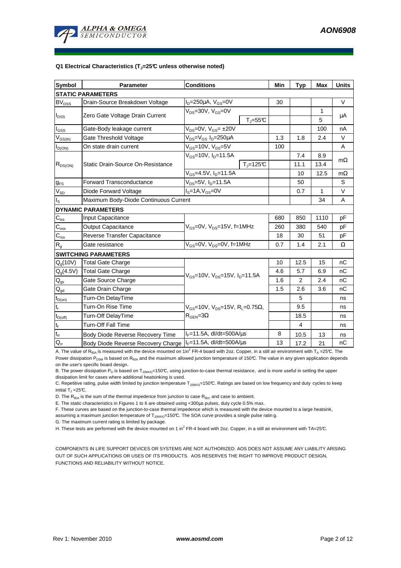

#### **Q1 Electrical Characteristics (TJ=25°C unless otherwise noted)**

| <b>Symbol</b>                           | <b>Conditions</b><br><b>Parameter</b> |                                                                                             |                              | Min | <b>Typ</b> | <b>Max</b>  | <b>Units</b> |  |  |
|-----------------------------------------|---------------------------------------|---------------------------------------------------------------------------------------------|------------------------------|-----|------------|-------------|--------------|--|--|
| <b>STATIC PARAMETERS</b>                |                                       |                                                                                             |                              |     |            |             |              |  |  |
| <b>BV<sub>DSS</sub></b>                 | Drain-Source Breakdown Voltage        | $I_D = 250 \mu A$ , $V_{GS} = 0V$                                                           |                              | 30  |            |             | $\vee$       |  |  |
| $I_{DSS}$                               | Zero Gate Voltage Drain Current       | $V_{DS}$ =30V, $V_{GS}$ =0V                                                                 |                              |     |            | 1           |              |  |  |
|                                         |                                       |                                                                                             | $T_{\text{J}} = 55^{\circ}C$ |     |            | 5           | μA           |  |  |
| $I_{GSS}$                               | Gate-Body leakage current             | $V_{DS} = 0V$ , $V_{GS} = \pm 20V$                                                          |                              |     |            | 100         | nA           |  |  |
| $\mathsf{V}_{\mathsf{GS}(\mathsf{th})}$ | Gate Threshold Voltage                | $V_{DS} = V_{GS} I_D = 250 \mu A$                                                           |                              | 1.3 | 1.8        | 2.4         | $\vee$       |  |  |
| $I_{D(ON)}$                             | On state drain current                | $V_{GS}$ =10V, $V_{DS}$ =5V                                                                 |                              | 100 |            |             | A            |  |  |
| $R_{DS(ON)}$                            | Static Drain-Source On-Resistance     | $V_{GS}$ =10V, $I_{D}$ =11.5A                                                               |                              |     | 7.4        | 8.9         |              |  |  |
|                                         |                                       |                                                                                             | $T_i = 125C$                 |     | 11.1       | 13.4        | $m\Omega$    |  |  |
|                                         |                                       | $V_{GS}$ =4.5V, $I_{D}$ =11.5A                                                              |                              | 10  | 12.5       | $m\Omega$   |              |  |  |
| $g_{FS}$                                | <b>Forward Transconductance</b>       | $V_{DS} = 5V$ , $I_D = 11.5A$                                                               |                              |     | 50         |             | S            |  |  |
| $V_{SD}$                                | Diode Forward Voltage                 | $IS=1A, VGS=0V$                                                                             |                              |     |            | $\mathbf 1$ | V            |  |  |
| $I_{\rm S}$                             | Maximum Body-Diode Continuous Current |                                                                                             |                              | 34  | A          |             |              |  |  |
|                                         | <b>DYNAMIC PARAMETERS</b>             |                                                                                             |                              |     |            |             |              |  |  |
| $C_{\text{iss}}$                        | Input Capacitance                     |                                                                                             |                              |     | 850        | 1110        | рF           |  |  |
| $C_{\rm oss}$                           | <b>Output Capacitance</b>             | $V_{GS}$ =0V, $V_{DS}$ =15V, f=1MHz                                                         |                              | 260 | 380        | 540         | pF           |  |  |
| $C_{\rm rss}$                           | Reverse Transfer Capacitance          |                                                                                             |                              | 18  | 30         | 51          | pF           |  |  |
| $R_{g}$                                 | Gate resistance                       | $V_{GS}$ =0V, $V_{DS}$ =0V, f=1MHz                                                          |                              | 0.7 | 1.4        | 2.1         | Ω            |  |  |
| <b>SWITCHING PARAMETERS</b>             |                                       |                                                                                             |                              |     |            |             |              |  |  |
| Q <sub>a</sub> (10V)                    | <b>Total Gate Charge</b>              | $V_{\text{GS}}$ =10V, $V_{\text{DS}}$ =15V, $I_{\text{D}}$ =11.5A                           |                              | 10  | 12.5       | 15          | nC           |  |  |
| $Q_g(4.5V)$                             | <b>Total Gate Charge</b>              |                                                                                             |                              | 4.6 | 5.7        | 6.9         | nC           |  |  |
| $\mathsf{Q}_{\underline{\text{gs}}}$    | Gate Source Charge                    |                                                                                             |                              | 1.6 | 2          | 2.4         | nC           |  |  |
| $Q_{gd}$                                | Gate Drain Charge                     |                                                                                             |                              | 1.5 | 2.6        | 3.6         | nC           |  |  |
| $t_{D(on)}$                             | Turn-On DelayTime                     |                                                                                             |                              |     | 5          |             | ns           |  |  |
| $\mathfrak{t}_{\mathsf{r}}$             | Turn-On Rise Time                     | $V_{GS}$ =10V, $V_{DS}$ =15V, R <sub>L</sub> =0.75 $\Omega$ ,<br>$R_{\text{GEN}} = 3\Omega$ |                              |     | 9.5        |             | ns           |  |  |
| $t_{D(\underline{off})}$                | Turn-Off DelayTime                    |                                                                                             |                              |     | 18.5       |             | ns           |  |  |
| $t_f$                                   | <b>Turn-Off Fall Time</b>             |                                                                                             |                              |     | 4          |             | ns           |  |  |
| $t_{rr}$                                | Body Diode Reverse Recovery Time      | $I_F = 11.5A$ , dl/dt=500A/ $\mu$ s                                                         |                              | 8   | 10.5       | 13          | ns           |  |  |
| $Q_{rr}$                                | Body Diode Reverse Recovery Charge    | $I_F = 11.5A$ , dl/dt=500A/ $\mu$ s                                                         |                              | 13  | 17.2       | 21          | nC           |  |  |

A. The value of R<sub>θJA</sub> is measured with the device mounted on 1in<sup>2</sup> FR-4 board with 2oz. Copper, in a still air environment with T<sub>A</sub>=25℃. The

Power dissipation P<sub>DSM</sub> is based on R<sub>θJA</sub> and the maximum allowed junction temperature of 150°C. The value in any given application depends on the user's specific board design.

B. The power dissipation  $P_D$  is based on  $T_{J(MAX)}=150^{\circ}C$ , using junction-to-case thermal resistance, and is more useful in setting the upper dissipation limit for cases where additional heatsinking is used.

C. Repetitive rating, pulse width limited by junction temperature  $T_{J(MAX)}$ =150°C. Ratings are based on low frequency and duty cycles to keep initial T $_{\textrm{\scriptsize{J}}}$  =25°C.

D. The  $R_{\theta JA}$  is the sum of the thermal impedence from junction to case  $R_{\theta JC}$  and case to ambient.

E. The static characteristics in Figures 1 to 6 are obtained using <300µs pulses, duty cycle 0.5% max.

F. These curves are based on the junction-to-case thermal impedence which is measured with the device mounted to a large heatsink,

assuming a maximum junction temperature of  $T_{J(MAX)}$ =150°C. The SOA curve provides a single pulse ratin g.

G. The maximum current rating is limited by package.

H. These tests are performed with the device mounted on 1 in<sup>2</sup> FR-4 board with 2oz. Copper, in a still air environment with TA=25°C.

COMPONENTS IN LIFE SUPPORT DEVICES OR SYSTEMS ARE NOT AUTHORIZED. AOS DOES NOT ASSUME ANY LIABILITY ARISING OUT OF SUCH APPLICATIONS OR USES OF ITS PRODUCTS. AOS RESERVES THE RIGHT TO IMPROVE PRODUCT DESIGN, FUNCTIONS AND RELIABILITY WITHOUT NOTICE.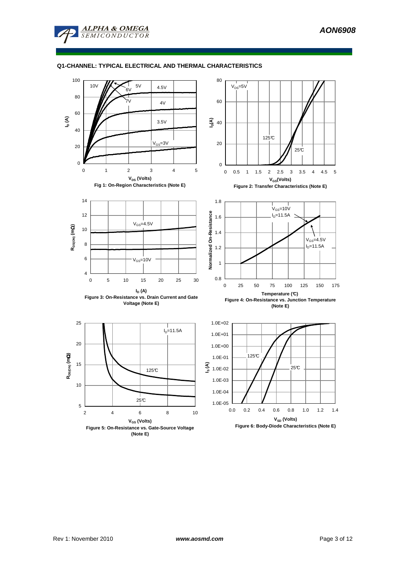

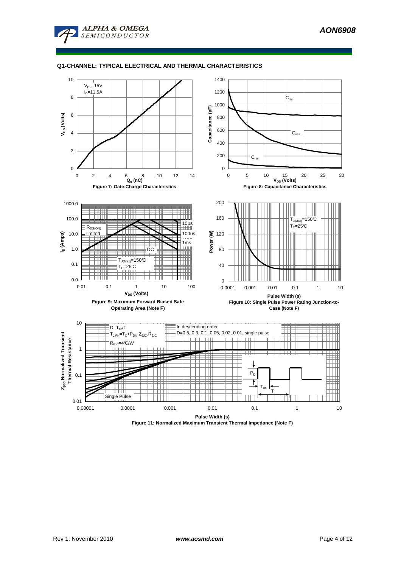



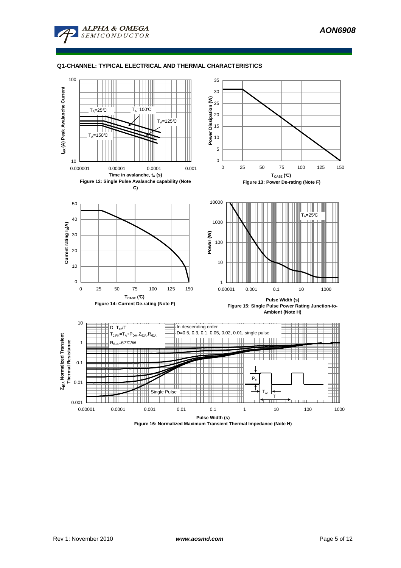



**Figure 16: Normalized Maximum Transient Thermal Impedance (Note H)**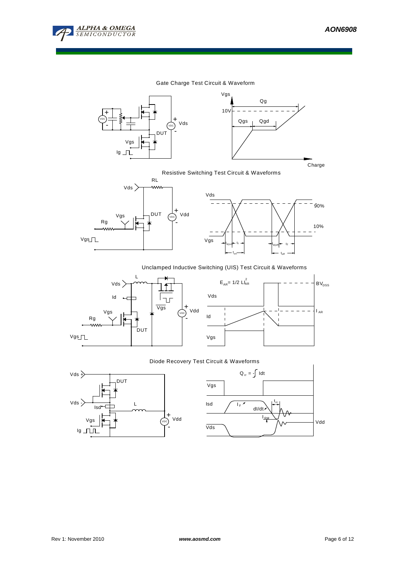

10%

90%

 $\overline{a}$ 

### Gate Charge Test Circuit & Waveform





Resistive Switching Test Circuit & Waveforms



### Unclamped Inductive Switching (UIS) Test Circuit & Waveforms





 $_{\text{d(off)}}$  tf t<sub>off</sub>

### Diode Recovery Test Circuit & Waveforms



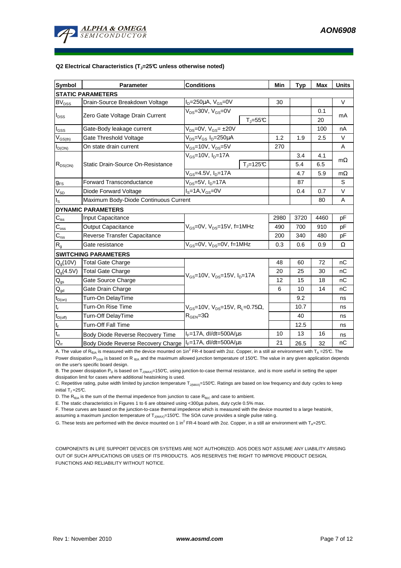

#### **Q2 Electrical Characteristics (TJ=25°C unless otherwise noted)**

| <b>Symbol</b>                           | Parameter                             | <b>Conditions</b>                                                                           |              |      | <b>Typ</b> | Max    | <b>Units</b> |  |  |
|-----------------------------------------|---------------------------------------|---------------------------------------------------------------------------------------------|--------------|------|------------|--------|--------------|--|--|
| <b>STATIC PARAMETERS</b>                |                                       |                                                                                             |              |      |            |        |              |  |  |
| <b>BV<sub>DSS</sub></b>                 | Drain-Source Breakdown Voltage        | $I_D = 250 \mu A$ , $V_{GS} = 0V$                                                           |              | 30   |            |        | $\vee$       |  |  |
| $I_{DSS}$                               |                                       | $V_{DS}$ =30V, $V_{GS}$ =0V<br>$T_{\parallel} = 55$ °C                                      |              |      |            | 0.1    | mA           |  |  |
|                                         | Zero Gate Voltage Drain Current       |                                                                                             |              |      |            | 20     |              |  |  |
| $I_{GS}$                                | Gate-Body leakage current             | $V_{DS} = 0V$ , $V_{GS} = \pm 20V$                                                          |              |      |            | 100    | nA           |  |  |
| $\mathsf{V}_{\mathsf{GS}(\mathsf{th})}$ | Gate Threshold Voltage                | V <sub>DS</sub> =V <sub>GS</sub> I <sub>D</sub> =250µA                                      | 1.2          | 1.9  | 2.5        | $\vee$ |              |  |  |
| $I_{D(ON)}$                             | On state drain current                | $\rm V_{GS}$ =10V, V $\rm_{DS}$ =5V                                                         |              | 270  |            |        | A            |  |  |
| $R_{DS(ON)}$                            | Static Drain-Source On-Resistance     | $V_{GS}$ =10V, I <sub>D</sub> =17A                                                          |              |      | 3.4        | 4.1    | $m\Omega$    |  |  |
|                                         |                                       |                                                                                             | $T_i = 125C$ |      | 5.4        | 6.5    |              |  |  |
|                                         |                                       | $V_{GS} = 4.5V, I_D = 17A$                                                                  |              |      | 4.7        | 5.9    | $m\Omega$    |  |  |
| $g_{FS}$                                | <b>Forward Transconductance</b>       | $V_{DS}$ =5V, I <sub>D</sub> =17A                                                           |              |      | 87         |        | S            |  |  |
| $V_{SD}$                                | Diode Forward Voltage                 | $IS=1A, VGS=0V$                                                                             |              | 0.4  | 0.7        | $\vee$ |              |  |  |
| $I_{\rm S}$                             | Maximum Body-Diode Continuous Current |                                                                                             |              |      |            | 80     | Α            |  |  |
|                                         | <b>DYNAMIC PARAMETERS</b>             |                                                                                             |              |      |            |        |              |  |  |
| $C_{iss}$                               | Input Capacitance                     |                                                                                             | 2980         | 3720 | 4460       | pF     |              |  |  |
| $C_{\rm oss}$                           | <b>Output Capacitance</b>             | $V_{GS}$ =0V, $V_{DS}$ =15V, f=1MHz                                                         |              | 490  | 700        | 910    | pF           |  |  |
| $C_{\rm rss}$                           | Reverse Transfer Capacitance          |                                                                                             |              | 200  | 340        | 480    | pF           |  |  |
| R <sub>g</sub>                          | Gate resistance                       | $V_{GS}$ =0V, $V_{DS}$ =0V, f=1MHz                                                          |              | 0.3  | 0.6        | 0.9    | Ω            |  |  |
|                                         | <b>SWITCHING PARAMETERS</b>           |                                                                                             |              |      |            |        |              |  |  |
| $Q_q(10V)$                              | <b>Total Gate Charge</b>              | $V_{GS}$ =10V, $V_{DS}$ =15V, $I_{D}$ =17A                                                  |              | 48   | 60         | 72     | nC           |  |  |
| $Q_g(4.5V)$                             | <b>Total Gate Charge</b>              |                                                                                             |              | 20   | 25         | 30     | nC           |  |  |
| $\mathsf{Q}_{\mathsf{gs}}$              | Gate Source Charge                    |                                                                                             |              | 12   | 15         | 18     | nC           |  |  |
| $\mathsf{Q}_{\text{gd}}$                | Gate Drain Charge                     |                                                                                             |              | 6    | 10         | 14     | nC           |  |  |
| $t_{D(on)}$                             | Turn-On DelayTime                     |                                                                                             |              |      | 9.2        |        | ns           |  |  |
| $\mathfrak{t}_{\mathsf{r}}$             | Turn-On Rise Time                     | $V_{GS}$ =10V, $V_{DS}$ =15V, R <sub>L</sub> =0.75 $\Omega$ ,<br>$R_{\text{GEN}} = 3\Omega$ |              |      | 10.7       |        | ns           |  |  |
| $t_{D(\underline{off})}$                | Turn-Off DelayTime                    |                                                                                             |              |      | 40         |        | ns           |  |  |
| $t_f$                                   | <b>Turn-Off Fall Time</b>             |                                                                                             |              |      | 12.5       |        | ns           |  |  |
| $t_{rr}$                                | Body Diode Reverse Recovery Time      | $I_F = 17A$ , dl/dt=500A/ $\mu$ s                                                           |              | 10   | 13         | 16     | ns           |  |  |
| $Q_{rr}$                                | Body Diode Reverse Recovery Charge    | $I_F = 17A$ , dl/dt=500A/us                                                                 |              | 21   | 26.5       | 32     | nC           |  |  |

A. The value of R<sub>θJA</sub> is measured with the device mounted on 1in<sup>2</sup> FR-4 board with 2oz. Copper, in a still air environment with T<sub>A</sub> =25℃. The

Power dissipation P<sub>DSM</sub> is based on R<sub>6JA</sub> and the maximum allowed junction temperature of 150°C. The value in any given application depends on the user's specific board design.

B. The power dissipation  $P_D$  is based on  $T_{J(MAX)}=150^{\circ}C$ , using junction-to-case thermal resistance, and is more useful in setting the upper dissipation limit for cases where additional heatsinking is used.

C. Repetitive rating, pulse width limited by junction temperature  $T_{J(MAX)}$ =150°C. Ratings are based on low frequency and duty cycles to keep initial  $T_1 = 25^{\circ}C$ .

D. The  $R_{\theta JA}$  is the sum of the thermal impedence from junction to case  $R_{\theta JC}$  and case to ambient.

E. The static characteristics in Figures 1 to 6 are obtained using <300µs pulses, duty cycle 0.5% max.

F. These curves are based on the junction-to-case thermal impedence which is measured with the device mounted to a large heatsink,

assuming a maximum junction temperature of  $T_{J(MAX)}=150^{\circ}C$ . The SOA curve provides a single pulse ratin g.

G. These tests are performed with the device mounted on 1 in<sup>2</sup> FR-4 board with 2oz. Copper, in a still air environment with T<sub>A</sub>=25°C.

COMPONENTS IN LIFE SUPPORT DEVICES OR SYSTEMS ARE NOT AUTHORIZED. AOS DOES NOT ASSUME ANY LIABILITY ARISING OUT OF SUCH APPLICATIONS OR USES OF ITS PRODUCTS. AOS RESERVES THE RIGHT TO IMPROVE PRODUCT DESIGN, FUNCTIONS AND RELIABILITY WITHOUT NOTICE.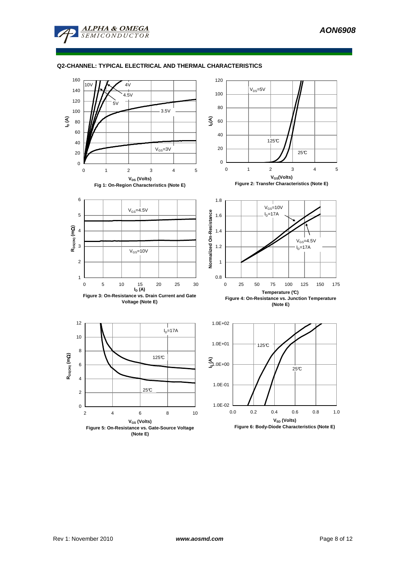



**(Note E)**

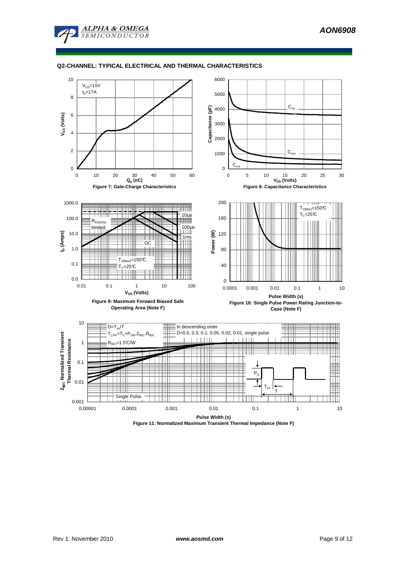



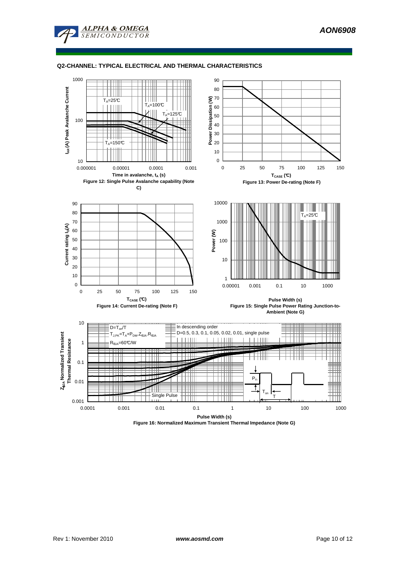



**Figure 16: Normalized Maximum Transient Thermal Impedance (Note G)**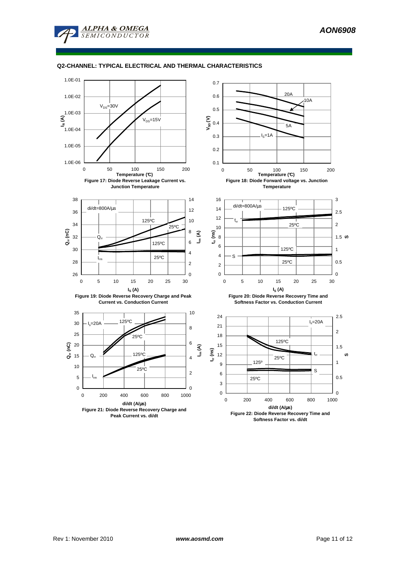